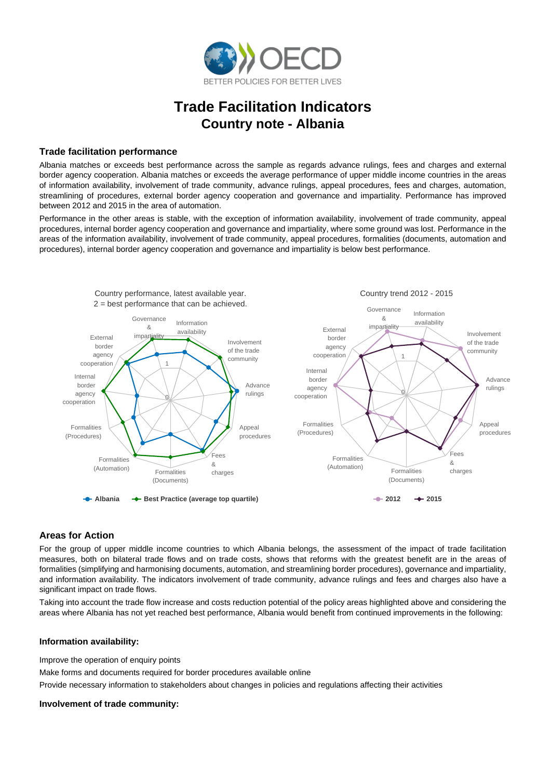

# **Trade Facilitation Indicators Country note - Albania**

## **Trade facilitation performance**

Albania matches or exceeds best performance across the sample as regards advance rulings, fees and charges and external border agency cooperation. Albania matches or exceeds the average performance of upper middle income countries in the areas of information availability, involvement of trade community, advance rulings, appeal procedures, fees and charges, automation, streamlining of procedures, external border agency cooperation and governance and impartiality. Performance has improved between 2012 and 2015 in the area of automation.

Performance in the other areas is stable, with the exception of information availability, involvement of trade community, appeal procedures, internal border agency cooperation and governance and impartiality, where some ground was lost. Performance in the areas of the information availability, involvement of trade community, appeal procedures, formalities (documents, automation and procedures), internal border agency cooperation and governance and impartiality is below best performance.



## **Areas for Action**

For the group of upper middle income countries to which Albania belongs, the assessment of the impact of trade facilitation measures, both on bilateral trade flows and on trade costs, shows that reforms with the greatest benefit are in the areas of formalities (simplifying and harmonising documents, automation, and streamlining border procedures), governance and impartiality, and information availability. The indicators involvement of trade community, advance rulings and fees and charges also have a significant impact on trade flows.

Taking into account the trade flow increase and costs reduction potential of the policy areas highlighted above and considering the areas where Albania has not yet reached best performance, Albania would benefit from continued improvements in the following:

#### **Information availability:**

Improve the operation of enquiry points

Make forms and documents required for border procedures available online

Provide necessary information to stakeholders about changes in policies and regulations affecting their activities

## **Involvement of trade community:**